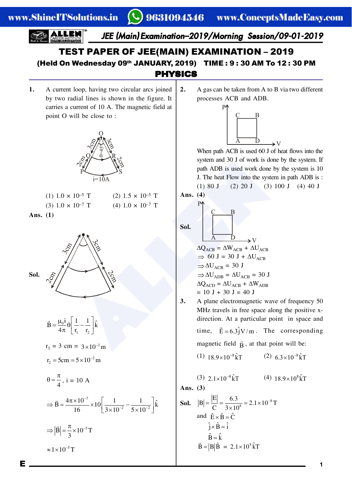*JEE (Main) Examination–2019/Morning Session/09-01-2019*

#### PHYSICS TEST PAPER OF JEE(MAIN) EXAMINATION – 2019 (Held On Wednesday 09th JANUARY, 2019) TIME : 9 : 30 AM To 12 : 30 PM

**1.** A current loop, having two circular arcs joined by two radial lines is shown in the figure. It carries a current of 10 A. The magnetic field at point O will be close to :



| $(1)$ 1.0 $\times$ 10 <sup>-5</sup> T | $(2)$ 1.5 $\times$ 10 <sup>-5</sup> T |
|---------------------------------------|---------------------------------------|
| $(3) 1.0 \times 10^{-7}$ T            | $(4)$ 1.0 $\times$ 10 <sup>-7</sup> T |
| 20(1)                                 |                                       |





$$
\vec{B} = \frac{\mu_0 i}{4\pi} \theta \left[ \frac{1}{r_1} - \frac{1}{r_2} \right] \hat{k}
$$
  
\n
$$
r_1 = 3 \text{ cm} = 3 \times 10^{-2} \text{ m}
$$
  
\n
$$
r_2 = 5 \text{ cm} = 5 \times 10^{-2} \text{ m}
$$
  
\n
$$
\theta = \frac{\pi}{4}, \text{ i} = 10 \text{ A}
$$
  
\n
$$
\Rightarrow \vec{B} = \frac{4\pi \times 10^{-7}}{16} \times 10 \left[ \frac{1}{3 \times 10^{-2}} - \frac{1}{5 \times 10^{-2}} \right] \hat{k}
$$
  
\n
$$
\Rightarrow |\vec{B}| = \frac{\pi}{3} \times 10^{-5} \text{ T}
$$

 $\approx 1 \times 10^{-5}$  T

**2.** A gas can be taken from A to B via two different processes ACB and ADB.



When path ACB is used 60 J of heat flows into the system and 30 J of work is done by the system. If path ADB is used work done by the system is 10 J. The heat Flow into the system in path ADB is : (1) 80 J (2) 20 J (3) 100 J (4) 40 J **Ans. (4)**

Solution As a part of the SSM system and 30 J of work is do<br>
10-3 T<br>
(2)  $1.5 \times 10^{-5}$  T<br>
(4)  $1.0 \times 10^{-7}$  T<br>
(4)  $1.0 \times 10^{-7}$ <br>
(4)  $1.0 \times 10^{-7}$ <br>
(4)  $1.0 \times 10^{-7}$ <br>
(4)  $1.0 \times 10^{-7}$ <br>
(4)  $1.0 \times 10^{-7}$ <br>
(4)  $1.0 \times 10^{-7$ **Sol.** A D  $C \t B$ P V  $\Delta Q_{ACB} = \Delta W_{ACB} + \Delta U_{ACB}$  $\Rightarrow$  60 J = 30 J +  $\Delta U_{ACB}$  $\Rightarrow$   $\Delta U_{ACB}$  = 30 J  $\Rightarrow \Delta U_{ADB} = \Delta U_{ACB} = 30$  J  $\Delta Q_{\text{ACD}} = \Delta U_{\text{ACB}} + \Delta W_{\text{ADB}}$  $= 10$  J + 30 J = 40 J

- **3.** A plane electromagnetic wave of frequency 50 MHz travels in free space along the positive xdirection. At a particular point in space and time,  $\vec{E} = 6.3 \hat{j} V/m$ . The corresponding magnetic field  $\vec{B}$ , at that point will be:
	- (1)  $18.9 \times 10^{-8}$  kT <br> (2)  $6.3 \times 10^{-8}$  kT

(3)  $2.1 \times 10^{-8}$  kT <br>(4)  $18.9 \times 10^{8}$  kT

**Ans. (3)**

**Sol.** 
$$
|B| = \frac{|E|}{C} = \frac{6.3}{3 \times 10^8} = 2.1 \times 10^{-8} T
$$
  
and  $\hat{E} \times \hat{B} = \hat{C}$   
 $\hat{j} \times \hat{B} = \hat{i}$   
 $\hat{B} = \hat{k}$   
 $\vec{B} = |B| \hat{B} = 2.1 \times 10^8 \hat{k} T$ 

E **1**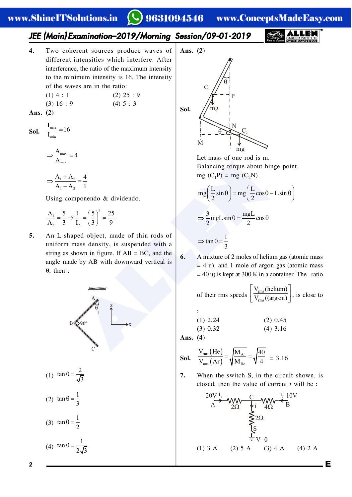## 9631094546 www.ConceptsMadeEasy.com

#### *JEE (Main) Examination–2019/Morning Session/09-01-2019*

- **4.** Two coherent sources produce waves of different intensities which interfere. After interference, the ratio of the maximum intensity to the minimum intensity is 16. The intensity of the waves are in the ratio:
	- $(1)$  4 : 1  $(2)$  25 : 9  $(3) 16 : 9$   $(4) 5 : 3$
- **Ans. (2)**

**Sol.**  $\frac{1_{\text{max}}}{I_{\text{min}}}$  $\frac{I_{\text{max}}}{I_{\text{min}}}$  = 16

$$
\Rightarrow \frac{A_{\max}}{A_{\min}} = 4
$$

$$
\Rightarrow \frac{A_1 + A_2}{A_1 - A_2} = \frac{4}{1}
$$

Using componendo & dividendo.

$$
\frac{A_1}{A_2} = \frac{5}{3} \Longrightarrow \frac{I_1}{I_2} = \left(\frac{5}{3}\right)^2 = \frac{25}{9}
$$

**5.** An L-shaped object, made of thin rods of uniform mass density, is suspended with a string as shown in figure. If  $AB = BC$ , and the angle made by AB with downward vertical is  $\theta$ , then :



(1) 
$$
\tan \theta = \frac{2}{\sqrt{3}}
$$
  
(2)  $\tan \theta = \frac{1}{3}$   
(3)  $\tan \theta = \frac{1}{2}$ 

$$
(4) \ \tan \theta = \frac{1}{2\sqrt{3}}
$$



Let mass of one rod is m. Balancing torque about hinge point. mg  $(C_1P)$  = mg  $(C_2N)$ 

$$
mg\left(\frac{L}{2}\sin\theta\right) = mg\left(\frac{L}{2}\cos\theta - L\sin\theta\right)
$$

$$
\Rightarrow \frac{3}{2}mgL\sin\theta = \frac{mgL}{2}\cos\theta
$$

$$
\Rightarrow \tan\theta = \frac{1}{3}
$$

**6.** A mixture of 2 moles of helium gas (atomic mass  $= 4$  u), and 1 mole of argon gas (atomic mass  $= 40$  u) is kept at 300 K in a container. The ratio

of their rms speeds 
$$
\left[\frac{V_{rms}(helium)}{V_{rms}((arg on))}\right]
$$
, is close to

$$
\begin{array}{lll}\n\text{::} & \\
\text{(1) 2.24} & \\
\text{(3) 0.32} & \\
\text{(4) 3.16}\n\end{array}
$$

**Ans. (4)**

**Sol.** 
$$
\frac{V_{\text{rms}}(He)}{V_{\text{rms}}(Ar)} = \sqrt{\frac{M_{Ar}}{M_{He}}} = \sqrt{\frac{40}{4}} = 3.16
$$

**7.** When the switch S, in the circuit shown, is closed, then the value of current *i* will be :

$$
20V \frac{i_1}{A} - 40V \frac{C}{2\Omega} + i \frac{i_2}{4\Omega} + i \frac{10V}{B}
$$
  
\n
$$
\sum_{i=1}^{3} 2\Omega
$$
  
\n
$$
\sum_{i=1}^{4} V = 0
$$
  
\n(1) 3 A (2) 5 A (3) 4 A (4) 2 A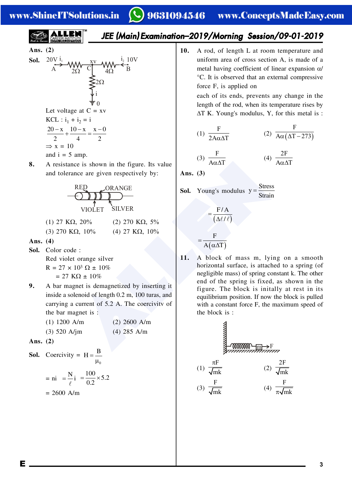## 9631094546 www.ConceptsMadeEasy.com

$$
\sum_{\text{SARERINSTUS}} \blacksquare
$$

**Ans.** (2)  
\n**Sol.** 
$$
20V \frac{i_1}{A}
$$
  
\n $20V \frac{x}{C}$   
\n $4\Omega$   
\n $4\Omega$   
\n $4\Omega$   
\n $4\Omega$   
\n $4\Omega$   
\n $4\Omega$   
\n $\frac{1}{2}10V$   
\n $4\Omega$   
\n $\frac{1}{2}$   
\n $\frac{1}{2}$   
\n $\frac{1}{2}$   
\nLet voltage at C = xv  
\n $KCL : i_1 + i_2 = i$   
\n $\frac{20 - x}{2} + \frac{10 - x}{4} = \frac{x - 0}{2}$   
\n $\Rightarrow x = 10$   
\nand i = 5 amp.

**8.** A resistance is shown in the figure. Its value and tolerance are given respectively by:

RED ORANGE VIOLET SILVER

- (1) 27 K $\Omega$ , 20% (2) 270 K $\Omega$ , 5% (3) 270 K $\Omega$ , 10% (4) 27 K $\Omega$ , 10%
- **Ans. (4)**
- **Sol.** Color code :

Red violet orange silver  $R = 27 \times 10^3 \Omega \pm 10\%$  $= 27$  KQ  $\pm 10\%$ 

- **9.** A bar magnet is demagnetized by inserting it inside a solenoid of length 0.2 m, 100 turas, and carrying a current of 5.2 A. The coercivitv of the bar magnet is :
	- (1) 1200 A/m (2) 2600 A/m (3) 520 A/jm (4) 285 A/m
- **Ans. (2)**
- **Sol.** Coercivity =  $H = \frac{B}{\mu_0}$

$$
= \text{ni} \quad = \frac{\text{N}}{\ell} \text{i} \quad = \frac{100}{0.2} \times 5.2
$$

$$
= 2600 \text{ A/m}
$$

- *JEE (Main) Examination–2019/Morning Session/09-01-2019*
	- **10.** A rod, of length L at room temperature and uniform area of cross section A, is made of a metal having coefficient of linear expansion  $\alpha$ °C. It is observed that an external compressive force F, is applied on

each of its ends, prevents any change in the length of the rod, when its temperature rises by  $\Delta T$  K. Young's modulus, Y, for this metal is :

(1) 
$$
\frac{F}{2A\alpha\Delta T}
$$
 (2)  $\frac{F}{A\alpha(\Delta T - 273)}$ 

2F  $A\alpha\Delta T$ 

$$
(3) \frac{F}{A\alpha\Delta T}
$$
 (4)

**Ans. (3)**

**Sol.** Young's modulus 
$$
y = \frac{Stress}{Strain}
$$

$$
= \frac{F/A}{(\Delta \ell / \ell)}
$$

$$
= \frac{F}{A(\alpha \Delta T)}
$$

ance are given respectively by:<br>
The are given respectively by:<br>
NOLET SILVER<br>
2, 20% (2) 270 KΩ, 5%<br>
11. A block of mass m, ly<br>
ance are given respectively by:<br>
YIOLET SILVER<br>
2, 20% (2) 270 KΩ, 5%<br>
4) 27 KΩ, 10%<br>  $(4)$  **11.** A block of mass m, lying on a smooth horizontal surface, is attached to a spring (of negligible mass) of spring constant k. The other end of the spring is fixed, as shown in the figure. The block is initally at rest in its equilibrium position. If now the block is pulled with a constant force F, the maximum speed of the block is :

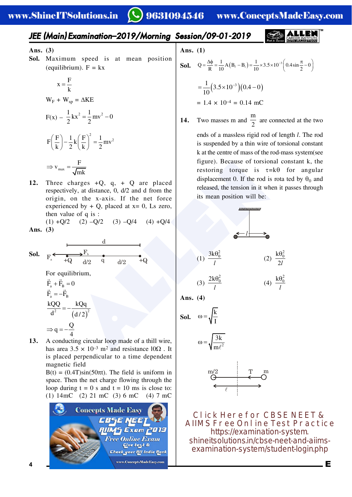#### *JEE (Main) Examination–2019/Morning Session/09-01-2019*

**Ans. (3)**

**Sol.** Maximum speed is at mean position (equilibrium).  $F = kx$ 

$$
x = \frac{F}{k}
$$
  
\n
$$
W_F + W_{sp} = \Delta KE
$$
  
\n
$$
F(x) - \frac{1}{2}kx^2 = \frac{1}{2}mv^2 - 0
$$
  
\n
$$
F\left(\frac{F}{k}\right) - \frac{1}{2}k\left(\frac{F}{k}\right)^2 = \frac{1}{2}mv^2
$$
  
\n
$$
\Rightarrow v_{max} = \frac{F}{\sqrt{mk}}
$$

**12.** Three charges +Q, q, + Q are placed respectively, at distance, 0, d/2 and d from the origin, on the x-axis. If the net force experienced by  $+ Q$ , placed at  $x = 0$ , Ls zero, then value of q is :

(1)  $+Q/2$  (2)  $-Q/2$  (3)  $-Q/4$  (4)  $+Q/4$ **Ans. (3)**

$$
\Rightarrow v_{max} = \frac{F}{\sqrt{mk}}
$$
  
\n12. Three charges +Q, q, + Q are placed  
\nrespectively, at distance, 0, d/2 and d from the  
\norigin, on the x-axis. If the net force  
\nexpected by + Q, placed at x = 0, Ls zero,  
\nthen value of q is :  
\n(1) +Q/2 (2) -Q/2 (3) -Q/4 (4) +Q/4  
\nAns. (3)  
\n  
\n**So.**  $F_a^* = \frac{F_b}{+Q} \frac{F_b}{d/2}$   
\nFor equilibrium,  
\n $\vec{F}_a + \vec{F}_B = 0$   
\n $\vec{F}_a = -\vec{F}_B$   
\n $\vec{F}_a = -\vec{F}_B$   
\n13. A conducting circular loop made of a hill wire,  
\nhas area 3.5 x 10<sup>-3</sup> m<sup>2</sup> and resistance 10Q2. It  
\n $\frac{3k\theta_0^2}{l}$   
\n $\omega = \sqrt{\frac{k}{I}}$   
\n $\omega = \sqrt{\frac{3k}{m\ell^2}}$   
\n $\omega = \sqrt{\frac{3k}{m\ell^2}}$   
\n $\omega = \sqrt{\frac{3k}{m\ell^2}}$ 

$$
\Rightarrow q = -\frac{Q}{4}
$$

**13.** A conducting circular loop made of a thill wire, has area  $3.5 \times 10^{-3}$  m<sup>2</sup> and resistance  $10\Omega$ . It is placed perpendicular to a time dependent magnetic field

 $B(t) = (0.4T)\sin(50\pi t)$ . The field is uniform in space. Then the net charge flowing through the loop during  $t = 0$  s and  $t = 10$  ms is close to: (1) 14mC (2) 21 mC (3) 6 mC (4) 7 mC



Ans. 
$$
(1)
$$

**Sol.** 
$$
Q = \frac{\Delta \phi}{R} = \frac{1}{10} A (B_f - B_i) = \frac{1}{10} \times 3.5 \times 10^{-3} \left( 0.4 \sin \frac{\pi}{2} - 0 \right)
$$
  
=  $\frac{1}{10} (3.5 \times 10^{-3}) (0.4 - 0)$   
= 1.4 × 10<sup>-4</sup> = 0.14 mC

- **14.** Two masses m and m  $\frac{2}{2}$  are connected at the two ends of a massless rigid rod of length *l*. The rod is suspended by a thin wire of torsional constant k at the centre of mass of the rod-mass system(see figure). Because of torsional constant k, the
	- restoring torque is  $\tau = k\theta$  for angular displacement 0. If the rod is rota ted by  $\theta_0$  and released, the tension in it when it passes through its mean position will be:



$$
(3) \frac{2k\theta_0^2}{l} \qquad (4) \frac{k\theta_0^2}{l}
$$

**Ans. (4)**

**Sol.** 
$$
\omega = \sqrt{\frac{k}{I}}
$$
  

$$
\omega = \sqrt{\frac{3k}{I}}
$$



2

 $\ell$ 

m

**Click Here for CBSE NEET & AIIMS Free Online Test Practice** https://examination-system. [shineitsolutions.in/cbse-neet-and-aiims](https://examination-system.shineitsolutions.in/cbse-neet-and-aiims-examination-system/student-login.php)examination-system/student-login.php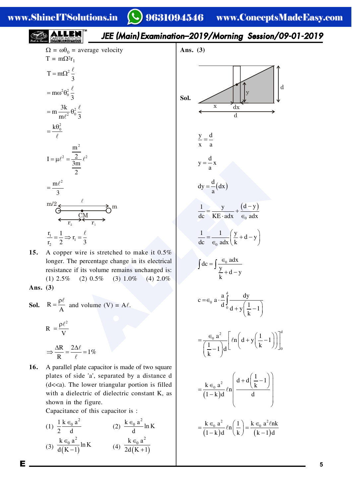## *JEE (Main) Examination–2019/Morning Session/09-01-2019*



**15.** A copper wire is stretched to make it 0.5% longer. The percentage change in its electrical resistance if its volume remains unchanged is: (1)  $2.5\%$  (2)  $0.5\%$  (3)  $1.0\%$  (4)  $2.0\%$ **Ans. (3)**

**Sol.** 
$$
R = \frac{\rho \ell}{A}
$$
 and volume (V) = A $\ell$ .

$$
R = \frac{\rho \ell^2}{V}
$$

$$
\Rightarrow \frac{\Delta R}{R} = \frac{2\Delta \ell}{V} = 1\%
$$

R  $\ell$ **16.** A parallel plate capacitor is made of two square plates of side 'a', separated by a distance d (d<<a). The lower triangular portion is filled with a dielectric of dielectric constant K, as shown in the figure.

Capacitance of this capacitor is :

(1) 
$$
\frac{1}{2} \frac{k \in_0 a^2}{d}
$$
 (2)  $\frac{k \in_0 a^2}{d} \ln K$   
(3)  $\frac{k \in_0 a^2}{d(K-1)} \ln K$  (4)  $\frac{k \in_0 a^2}{2d(K+1)}$ 

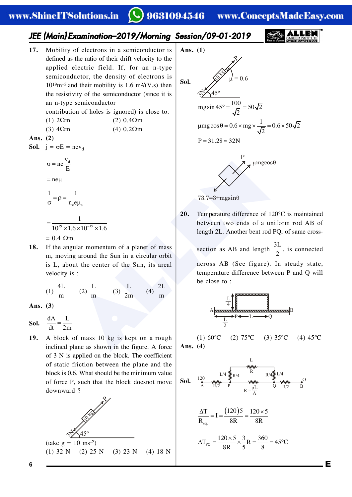#### 9631094546 www.ConceptsMadeEasy.com

### *JEE (Main) Examination–2019/Morning Session/09-01-2019*

**17.** Mobility of electrons in a semiconductor is defined as the ratio of their drift velocity to the applied electric field. If, for an n-type semiconductor, the density of electrons is  $10^{19}$ m<sup>-3</sup> and their mobility is 1.6 m<sup>2</sup>/(V.s) then the resistivity of the semiconductor (since it is an n-type semiconductor

contribution of holes is ignored) is close to:

- (1)  $2\Omega$ m (2)  $0.4\Omega$ m
- (3)  $4\Omega$ m (4)  $0.2\Omega$ m
- **Ans. (2)**

**Sol.**  $j = \sigma E = nev_d$ 

$$
\sigma = ne \frac{v_d}{E}
$$

$$
=ne\mu
$$

$$
\frac{1}{\sigma} = \rho = \frac{1}{n_e e \mu_e}
$$

$$
=\frac{1}{10^{19} \times 1.6 \times 10^{-19} \times 1.6}
$$

- $= 0.4$  Qm
- **18.** If the angular momentum of a planet of mass m, moving around the Sun in a circular orbit is L, about the center of the Sun, its areal velocity is :

(1) 4L  $\frac{m}{m}$  (2) L  $\frac{1}{m}$  (3) L  $\frac{1}{2m}$  (4) 2L m

**Ans. (3)**

- **Sol.**  $\frac{dA}{dt} = \frac{L}{2m}$
- **19.** A block of mass 10 kg is kept on a rough inclined plane as shown in the figure. A force of 3 N is applied on the block. The coefficient of static friction between the plane and the block is 0.6. What should be the minimum value of force P, such that the block doesnot move downward ?





**20.** Temperature difference of 120°C is maintained between two ends of a uniform rod AB of length 2L. Another bent rod PQ, of same cross-

> section as AB and length 3L  $\frac{1}{2}$ , is connected across AB (See figure). In steady state, temperature difference between P and Q will be close to :



(1)  $60^{\circ}$ C (2)  $75^{\circ}$ C (3)  $35^{\circ}$ C (4)  $45^{\circ}$ C **Ans. (4)**

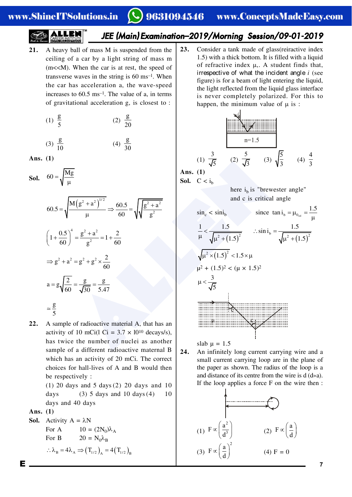# *JEE (Main) Examination–2019/Morning Session/09-01-2019*

**21.** A heavy ball of mass M is suspended from the ceiling of a car by a light string of mass m  $(m<. When the car is at rest, the speed of$ transverse waves in the string is 60 ms–1. When the car has acceleration a, the wave-speed increases to 60.5 ms–1. The value of a, in terms of gravitational acceleration g, is closest to :

(1) 
$$
\frac{g}{5}
$$
 (2)  $\frac{g}{20}$ 

$$
(3) \frac{g}{10} \qquad (4) \frac{g}{30}
$$

**Ans. (1)**

**Sol.** 60 =  $\sqrt{\frac{Mg}{\mu}}$ 

$$
60 = \sqrt{\frac{Mg}{\mu}}
$$
\n
$$
60.5 = \sqrt{\frac{M(g^{2} + a^{2})^{1/2}}{\mu}} \Rightarrow \frac{60.5}{60} = \sqrt{\sqrt{\frac{g^{2} + a^{2}}{g^{2}}}}
$$
\n
$$
50. \quad C < i_{b}
$$
\nhere  $i_{b}$  is "brev and c is critical  
\n
$$
\left(1 + \frac{0.5}{60}\right)^{4} = \frac{g^{2} + a^{2}}{g^{2}} = 1 + \frac{2}{60}
$$
\n
$$
\Rightarrow g^{2} + a^{2} = g^{2} + g^{2} \times \frac{2}{60}
$$
\n
$$
a = g\sqrt{\frac{2}{60}} = \frac{g}{\sqrt{30}} = \frac{g}{5.47}
$$
\n
$$
= \frac{g}{5}
$$
\nA sample of radioactive material A, that has an  
\nactivity of 10 mCi(1 Ci = 3.7 × 10<sup>10</sup> decays/s),  
\nhas twice the number of nuclei as another  
\nsample of a different radioactive material B  
\n
$$
a = 2 \times \frac{1.5}{\sqrt{5}} \times \frac{3}{\sqrt{5}} \times \frac{1.5}{\sqrt{5}}
$$
\n
$$
a = 2 \times \frac{2}{\sqrt{5}} \times \frac{1.5}{\sqrt{5}}
$$
\n
$$
a = 2 \times \frac{2}{\sqrt{5}} \times \frac{1.5}{\sqrt{5}}
$$
\n
$$
a = 2 \times \frac{2}{\sqrt{5}} \times \frac{2}{\sqrt{5}}
$$
\n
$$
a = 2 \times \frac{2}{\sqrt{5}} \times \frac{2}{\sqrt{5}}
$$
\n
$$
a = 2 \times \frac{2}{\sqrt{5}} \times \frac{2}{\sqrt{5}}
$$
\n
$$
a = 2 \times \frac{2}{\sqrt{5}}
$$
\n
$$
a = 2 \times \frac{2}{\sqrt{5}}
$$
\n
$$
a = 2 \times \frac{2}{\sqrt{5}}
$$
\n
$$
a = 2 \times \frac{2}{\sqrt{5}}
$$
\n
$$
a = 2 \times \frac{2}{\sqrt{5}}
$$
\n
$$
a = 2 \times \frac{2}{\sqrt{5}}
$$
\n
$$
a =
$$

**22.** A sample of radioactive material A, that has an activity of 10 mCi(l Ci =  $3.7 \times 10^{10}$  decays/s), has twice the number of nuclei as another sample of a different radioactive maternal B which has an activity of 20 mCi. The correct choices for hall-lives of A and B would then be respectively :

(1) 20 days and 5 days (2) 20 days and 10 days (3) 5 days and 10 days  $(4)$  10 days and 40 days

**Ans. (1)**

**Sol.** Activity  $A = \lambda N$ For A  $10 = (2N_0)\lambda_A$ For B  $20 = N_0 \lambda_B$  $\therefore \lambda_B = 4\lambda_A \Rightarrow (T_{1/2})_A = 4(T_{1/2})_B$  **23.** Consider a tank made of glass(reiractive index 1.5) with a thick bottom. It is filled with a liquid of refractive index  $\mu$ ,. A student finds that, irrespective of what the incident angle *i* (see figure) is for a beam of light entering the liquid, the light reflected from the liquid glass interface is never completely polarized. For this to happen, the minimum value of  $\mu$  is :



**Ans. (1) Sol.**  $C < i<sub>b</sub>$ 

> here  $i_b$  is "brewester angle" and c is critical angle



slab  $\mu = 1.5$ 

**24.** An infinitely long current carrying wire and a small current carrying loop are in the plane of the paper as shown. The radius of the loop is a and distance of its centre from the wire is  $d(\text{d} \triangleright a)$ . If the loop applies a force F on the wire then :

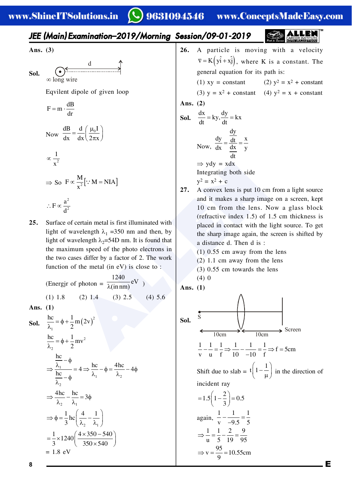## 9631094546 www.ConceptsMadeEasy.com

| JEE (Main) Examination–2019/Morning Session/09-01-2019 | <b>CAREER INSTRACTED</b> |
|--------------------------------------------------------|--------------------------|

**Ans. (3)**

**Sol.** 
$$
\underbrace{\bigodot}_{\infty \text{ long wire}} \underbrace{\bigodot}_{}
$$

Eqvilent dipole of given loop

$$
F = m \cdot \frac{dB}{dr}
$$
  
Now 
$$
\frac{dB}{dx} = \frac{d}{dx} \left(\frac{\mu_0 I}{2\pi x}\right)
$$

$$
\propto \frac{1}{x^2}
$$

$$
\Rightarrow
$$
 So  $F \propto \frac{M}{x^2} [\because M = NIA]$ 
$$
\therefore F \propto \frac{a^2}{t^2}
$$

 $d^2$ 

 **25.** Surface of certain metal is first illuminated with light of wavelength  $\lambda_1$  =350 nm and then, by light of wavelength  $\lambda_2$ =54D nm. It is found that the maximum speed of the photo electrons in the two cases differ by a factor of 2. The work function of the metal (in eV) is close to :

(Energir of photon =  $\frac{1240}{\lambda (20 \text{ nm})}$ eV  $\overline{\lambda(\text{in nm})}$ ev) (1) 1.8 (2) 1.4 (3) 2.5 (4) 5.6

**Ans. (1)**

**Sol.** 
$$
\frac{hc}{\lambda_1} = \phi + \frac{1}{2} m (2v)^2
$$

$$
\frac{hc}{\lambda_2} = \phi + \frac{1}{2} m v^2
$$

$$
\Rightarrow \frac{\frac{hc}{\lambda_1} - \phi}{\frac{hc}{\lambda_2} - \phi} = 4 \Rightarrow \frac{hc}{\lambda_1} - \phi = \frac{4hc}{\lambda_2} - 4\phi
$$

$$
\Rightarrow \frac{4hc}{\lambda_2} - \frac{hc}{\lambda_1} = 3\phi
$$

$$
\Rightarrow \phi = \frac{1}{3} hc \left( \frac{4}{\lambda_2} - \frac{1}{\lambda_1} \right)
$$

$$
= \frac{1}{3} \times 1240 \left( \frac{4 \times 350 - 540}{350 \times 540} \right)
$$

$$
= 1.8 eV
$$

- **26.** A particle is moving with a velocity  $\overline{v} = K(y\hat{i} + x\hat{j})$ , where K is a constant. The general equation for its path is:
	- (1)  $xy = constant$  (2)  $y^2 = x^2 + constant$

(3)  $y = x^2 + constant$  (4)  $y^2 = x + constant$ 

Ans. 
$$
(2)
$$

**Sol.** 
$$
\frac{dx}{dt} = ky, \frac{dy}{dt} = kx
$$
  
\nNow, 
$$
\frac{dy}{dx} = \frac{\frac{dy}{dt}}{\frac{dx}{dt}} = \frac{x}{y}
$$
  
\n
$$
\Rightarrow ydy = xdx
$$
  
\nIntegrating both side  
\n
$$
y^2 = x^2 + c
$$

**27.** A convex lens is put 10 cm from a light source and it makes a sharp image on a screen, kept 10 cm from the lens. Now a glass block (refractive index 1.5) of 1.5 cm thickness is placed in contact with the light source. To get the sharp image again, the screen is shifted by a distance d. Then d is :

(1) 0.55 cm away from the lens

(2) 1.1 cm away from the lens

(3) 0.55 cm towards the lens

$$
\begin{array}{c}\n\text{(4) 0} \\
\text{Ans. (1)}\n\end{array}
$$

**Sol.** Screen 10cm 10cm S 1 1 1 1 1 1 f 5cm v u f 10 10 f Shift due to slab = <sup>1</sup> t 1 in the direction of incident ray <sup>2</sup> 1.5 1 0.5 3 again, 1 1 1 v 9.5 5 1 1 2 9 u 5 19 95 <sup>95</sup> v 10.55cm 

9

8 **E**